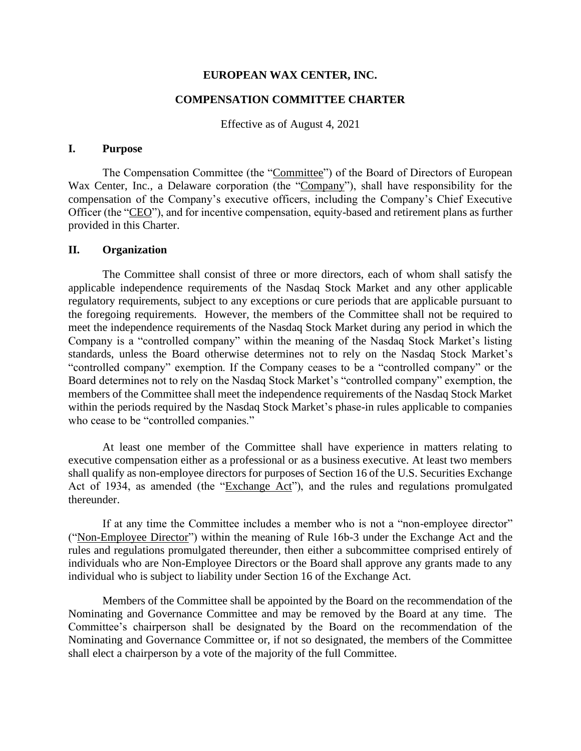#### **EUROPEAN WAX CENTER, INC.**

## **COMPENSATION COMMITTEE CHARTER**

Effective as of August 4, 2021

## **I. Purpose**

The Compensation Committee (the "Committee") of the Board of Directors of European Wax Center, Inc., a Delaware corporation (the "Company"), shall have responsibility for the compensation of the Company's executive officers, including the Company's Chief Executive Officer (the "CEO"), and for incentive compensation, equity-based and retirement plans as further provided in this Charter.

### **II. Organization**

The Committee shall consist of three or more directors, each of whom shall satisfy the applicable independence requirements of the Nasdaq Stock Market and any other applicable regulatory requirements, subject to any exceptions or cure periods that are applicable pursuant to the foregoing requirements. However, the members of the Committee shall not be required to meet the independence requirements of the Nasdaq Stock Market during any period in which the Company is a "controlled company" within the meaning of the Nasdaq Stock Market's listing standards, unless the Board otherwise determines not to rely on the Nasdaq Stock Market's "controlled company" exemption. If the Company ceases to be a "controlled company" or the Board determines not to rely on the Nasdaq Stock Market's "controlled company" exemption, the members of the Committee shall meet the independence requirements of the Nasdaq Stock Market within the periods required by the Nasdaq Stock Market's phase-in rules applicable to companies who cease to be "controlled companies."

At least one member of the Committee shall have experience in matters relating to executive compensation either as a professional or as a business executive. At least two members shall qualify as non-employee directors for purposes of Section 16 of the U.S. Securities Exchange Act of 1934, as amended (the "Exchange Act"), and the rules and regulations promulgated thereunder.

If at any time the Committee includes a member who is not a "non-employee director" ("Non-Employee Director") within the meaning of Rule 16b-3 under the Exchange Act and the rules and regulations promulgated thereunder, then either a subcommittee comprised entirely of individuals who are Non-Employee Directors or the Board shall approve any grants made to any individual who is subject to liability under Section 16 of the Exchange Act.

Members of the Committee shall be appointed by the Board on the recommendation of the Nominating and Governance Committee and may be removed by the Board at any time. The Committee's chairperson shall be designated by the Board on the recommendation of the Nominating and Governance Committee or, if not so designated, the members of the Committee shall elect a chairperson by a vote of the majority of the full Committee.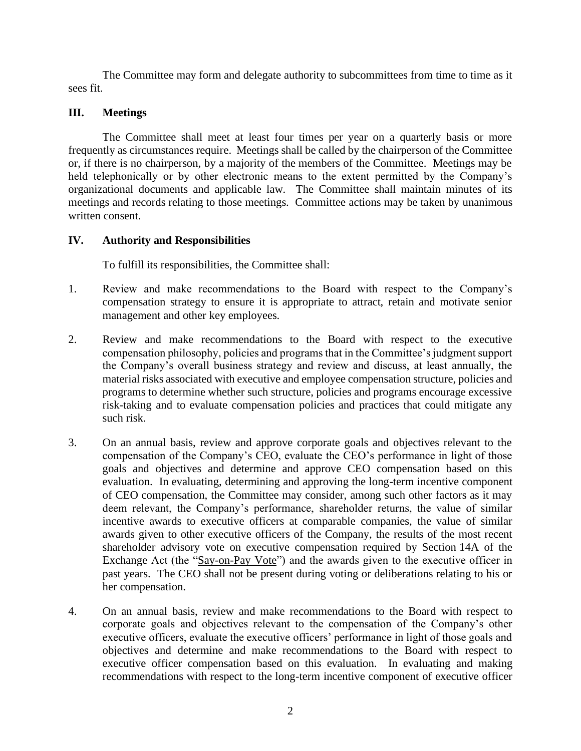The Committee may form and delegate authority to subcommittees from time to time as it sees fit.

# **III. Meetings**

The Committee shall meet at least four times per year on a quarterly basis or more frequently as circumstances require. Meetings shall be called by the chairperson of the Committee or, if there is no chairperson, by a majority of the members of the Committee. Meetings may be held telephonically or by other electronic means to the extent permitted by the Company's organizational documents and applicable law. The Committee shall maintain minutes of its meetings and records relating to those meetings. Committee actions may be taken by unanimous written consent.

## **IV. Authority and Responsibilities**

To fulfill its responsibilities, the Committee shall:

- 1. Review and make recommendations to the Board with respect to the Company's compensation strategy to ensure it is appropriate to attract, retain and motivate senior management and other key employees.
- 2. Review and make recommendations to the Board with respect to the executive compensation philosophy, policies and programs that in the Committee's judgment support the Company's overall business strategy and review and discuss, at least annually, the material risks associated with executive and employee compensation structure, policies and programs to determine whether such structure, policies and programs encourage excessive risk-taking and to evaluate compensation policies and practices that could mitigate any such risk.
- 3. On an annual basis, review and approve corporate goals and objectives relevant to the compensation of the Company's CEO, evaluate the CEO's performance in light of those goals and objectives and determine and approve CEO compensation based on this evaluation. In evaluating, determining and approving the long-term incentive component of CEO compensation, the Committee may consider, among such other factors as it may deem relevant, the Company's performance, shareholder returns, the value of similar incentive awards to executive officers at comparable companies, the value of similar awards given to other executive officers of the Company, the results of the most recent shareholder advisory vote on executive compensation required by Section 14A of the Exchange Act (the "Say-on-Pay Vote") and the awards given to the executive officer in past years. The CEO shall not be present during voting or deliberations relating to his or her compensation.
- 4. On an annual basis, review and make recommendations to the Board with respect to corporate goals and objectives relevant to the compensation of the Company's other executive officers, evaluate the executive officers' performance in light of those goals and objectives and determine and make recommendations to the Board with respect to executive officer compensation based on this evaluation. In evaluating and making recommendations with respect to the long-term incentive component of executive officer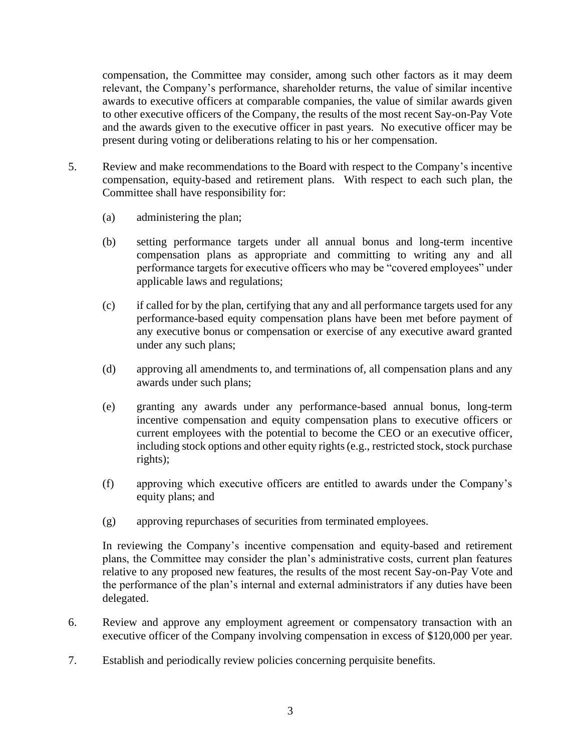compensation, the Committee may consider, among such other factors as it may deem relevant, the Company's performance, shareholder returns, the value of similar incentive awards to executive officers at comparable companies, the value of similar awards given to other executive officers of the Company, the results of the most recent Say-on-Pay Vote and the awards given to the executive officer in past years. No executive officer may be present during voting or deliberations relating to his or her compensation.

- 5. Review and make recommendations to the Board with respect to the Company's incentive compensation, equity-based and retirement plans. With respect to each such plan, the Committee shall have responsibility for:
	- (a) administering the plan;
	- (b) setting performance targets under all annual bonus and long-term incentive compensation plans as appropriate and committing to writing any and all performance targets for executive officers who may be "covered employees" under applicable laws and regulations;
	- (c) if called for by the plan, certifying that any and all performance targets used for any performance-based equity compensation plans have been met before payment of any executive bonus or compensation or exercise of any executive award granted under any such plans;
	- (d) approving all amendments to, and terminations of, all compensation plans and any awards under such plans;
	- (e) granting any awards under any performance-based annual bonus, long-term incentive compensation and equity compensation plans to executive officers or current employees with the potential to become the CEO or an executive officer, including stock options and other equity rights (e.g., restricted stock, stock purchase rights);
	- (f) approving which executive officers are entitled to awards under the Company's equity plans; and
	- (g) approving repurchases of securities from terminated employees.

In reviewing the Company's incentive compensation and equity-based and retirement plans, the Committee may consider the plan's administrative costs, current plan features relative to any proposed new features, the results of the most recent Say-on-Pay Vote and the performance of the plan's internal and external administrators if any duties have been delegated.

- 6. Review and approve any employment agreement or compensatory transaction with an executive officer of the Company involving compensation in excess of \$120,000 per year.
- 7. Establish and periodically review policies concerning perquisite benefits.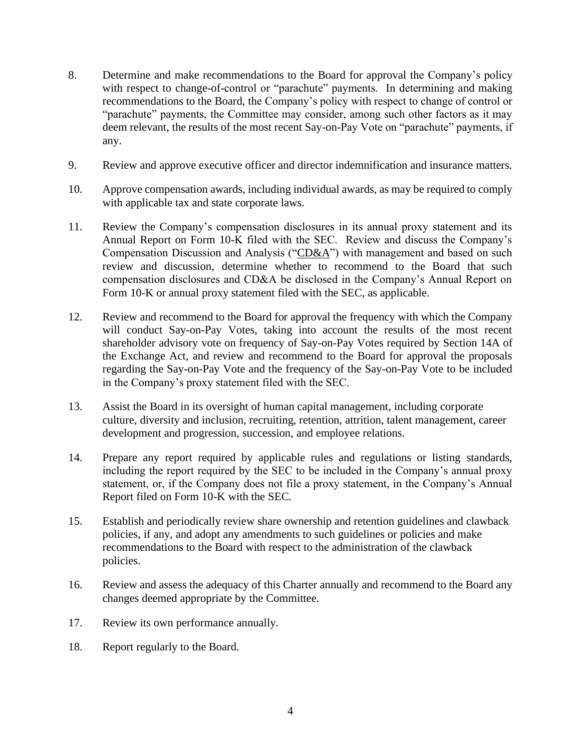- 8. Determine and make recommendations to the Board for approval the Company's policy with respect to change-of-control or "parachute" payments. In determining and making recommendations to the Board, the Company's policy with respect to change of control or "parachute" payments, the Committee may consider, among such other factors as it may deem relevant, the results of the most recent Say-on-Pay Vote on "parachute" payments, if any.
- 9. Review and approve executive officer and director indemnification and insurance matters.
- 10. Approve compensation awards, including individual awards, as may be required to comply with applicable tax and state corporate laws.
- 11. Review the Company's compensation disclosures in its annual proxy statement and its Annual Report on Form 10-K filed with the SEC. Review and discuss the Company's Compensation Discussion and Analysis (" $CD&A$ ") with management and based on such review and discussion, determine whether to recommend to the Board that such compensation disclosures and CD&A be disclosed in the Company's Annual Report on Form 10-K or annual proxy statement filed with the SEC, as applicable.
- 12. Review and recommend to the Board for approval the frequency with which the Company will conduct Say-on-Pay Votes, taking into account the results of the most recent shareholder advisory vote on frequency of Say-on-Pay Votes required by Section 14A of the Exchange Act, and review and recommend to the Board for approval the proposals regarding the Say-on-Pay Vote and the frequency of the Say-on-Pay Vote to be included in the Company's proxy statement filed with the SEC.
- 13. Assist the Board in its oversight of human capital management, including corporate culture, diversity and inclusion, recruiting, retention, attrition, talent management, career development and progression, succession, and employee relations.
- 14. Prepare any report required by applicable rules and regulations or listing standards, including the report required by the SEC to be included in the Company's annual proxy statement, or, if the Company does not file a proxy statement, in the Company's Annual Report filed on Form 10-K with the SEC.
- 15. Establish and periodically review share ownership and retention guidelines and clawback policies, if any, and adopt any amendments to such guidelines or policies and make recommendations to the Board with respect to the administration of the clawback policies.
- 16. Review and assess the adequacy of this Charter annually and recommend to the Board any changes deemed appropriate by the Committee.
- 17. Review its own performance annually.
- 18. Report regularly to the Board.